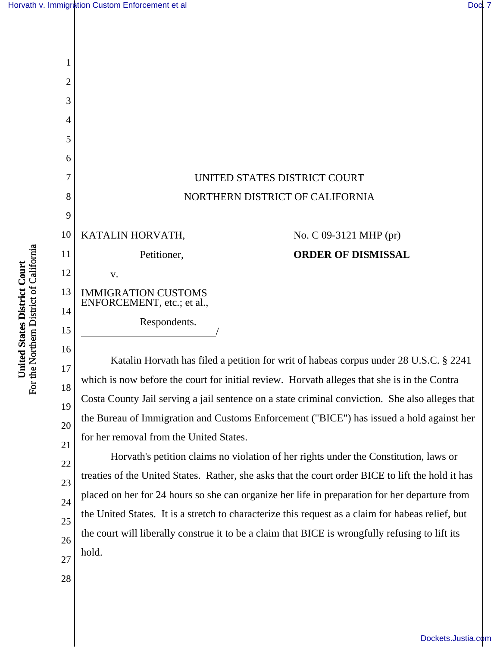

For the Northern District of California For the Northern District of California United States District Court **United States District Court**

17 18 19 20 Katalin Horvath has filed a petition for writ of habeas corpus under 28 U.S.C. § 2241 which is now before the court for initial review. Horvath alleges that she is in the Contra Costa County Jail serving a jail sentence on a state criminal conviction. She also alleges that the Bureau of Immigration and Customs Enforcement ("BICE") has issued a hold against her for her removal from the United States.

Horvath's petition claims no violation of her rights under the Constitution, laws or treaties of the United States. Rather, she asks that the court order BICE to lift the hold it has placed on her for 24 hours so she can organize her life in preparation for her departure from the United States. It is a stretch to characterize this request as a claim for habeas relief, but the court will liberally construe it to be a claim that BICE is wrongfully refusing to lift its hold.

28